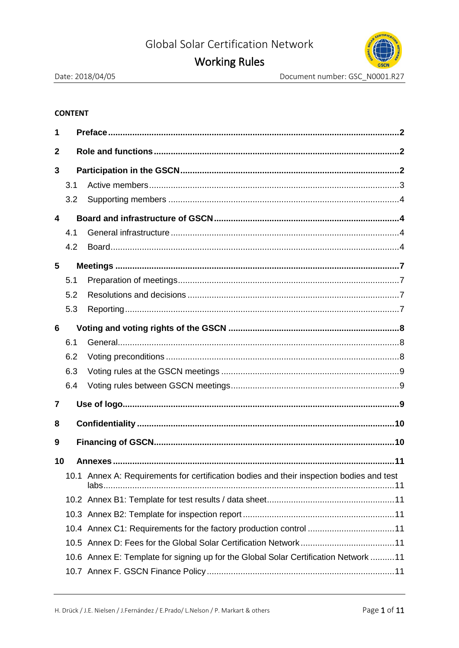# **Working Rules**



#### **CONTENT**

| 1            |     |                                                                                          |  |
|--------------|-----|------------------------------------------------------------------------------------------|--|
| $\mathbf{2}$ |     |                                                                                          |  |
| 3            |     |                                                                                          |  |
|              | 3.1 |                                                                                          |  |
|              | 3.2 |                                                                                          |  |
| 4            |     |                                                                                          |  |
|              | 4.1 |                                                                                          |  |
|              | 4.2 |                                                                                          |  |
| 5            |     |                                                                                          |  |
|              | 5.1 |                                                                                          |  |
|              | 5.2 |                                                                                          |  |
|              | 5.3 |                                                                                          |  |
| 6            |     |                                                                                          |  |
|              | 6.1 |                                                                                          |  |
|              | 6.2 |                                                                                          |  |
|              | 6.3 |                                                                                          |  |
|              | 6.4 |                                                                                          |  |
| 7            |     |                                                                                          |  |
| 8            |     |                                                                                          |  |
| 9            |     |                                                                                          |  |
| 10           |     |                                                                                          |  |
|              |     | 10.1 Annex A: Requirements for certification bodies and their inspection bodies and test |  |
|              |     |                                                                                          |  |
|              |     |                                                                                          |  |
|              |     | 10.4 Annex C1: Requirements for the factory production control 11                        |  |
|              |     |                                                                                          |  |
|              |     | 10.6 Annex E: Template for signing up for the Global Solar Certification Network 11      |  |
|              |     |                                                                                          |  |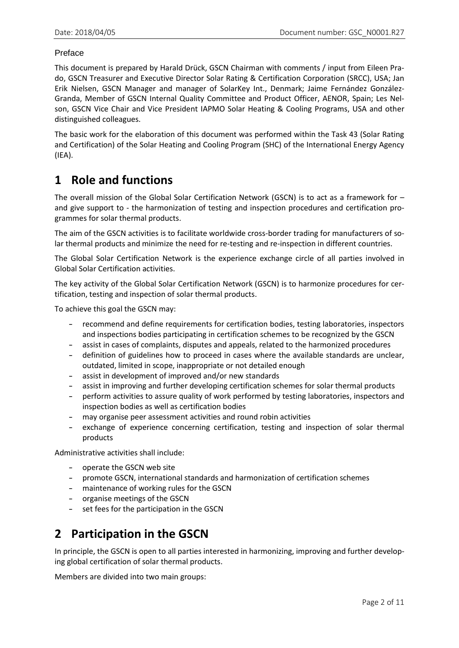#### Preface

This document is prepared by Harald Drück, GSCN Chairman with comments / input from Eileen Prado, GSCN Treasurer and Executive Director Solar Rating & Certification Corporation (SRCC), USA; Jan Erik Nielsen, GSCN Manager and manager of SolarKey Int., Denmark; Jaime Fernández González-Granda, Member of GSCN Internal Quality Committee and Product Officer, AENOR, Spain; Les Nelson, GSCN Vice Chair and Vice President IAPMO Solar Heating & Cooling Programs, USA and other distinguished colleagues.

The basic work for the elaboration of this document was performed within the Task 43 (Solar Rating and Certification) of the Solar Heating and Cooling Program (SHC) of the International Energy Agency (IEA).

## **1 Role and functions**

The overall mission of the Global Solar Certification Network (GSCN) is to act as a framework for – and give support to - the harmonization of testing and inspection procedures and certification programmes for solar thermal products.

The aim of the GSCN activities is to facilitate worldwide cross-border trading for manufacturers of solar thermal products and minimize the need for re-testing and re-inspection in different countries.

The Global Solar Certification Network is the experience exchange circle of all parties involved in Global Solar Certification activities.

The key activity of the Global Solar Certification Network (GSCN) is to harmonize procedures for certification, testing and inspection of solar thermal products.

To achieve this goal the GSCN may:

- recommend and define requirements for certification bodies, testing laboratories, inspectors and inspections bodies participating in certification schemes to be recognized by the GSCN
- assist in cases of complaints, disputes and appeals, related to the harmonized procedures
- definition of guidelines how to proceed in cases where the available standards are unclear, outdated, limited in scope, inappropriate or not detailed enough
- assist in development of improved and/or new standards
- assist in improving and further developing certification schemes for solar thermal products
- perform activities to assure quality of work performed by testing laboratories, inspectors and inspection bodies as well as certification bodies
- may organise peer assessment activities and round robin activities
- exchange of experience concerning certification, testing and inspection of solar thermal products

Administrative activities shall include:

- operate the GSCN web site
- promote GSCN, international standards and harmonization of certification schemes
- maintenance of working rules for the GSCN
- organise meetings of the GSCN
- set fees for the participation in the GSCN

# **2 Participation in the GSCN**

In principle, the GSCN is open to all parties interested in harmonizing, improving and further developing global certification of solar thermal products.

Members are divided into two main groups: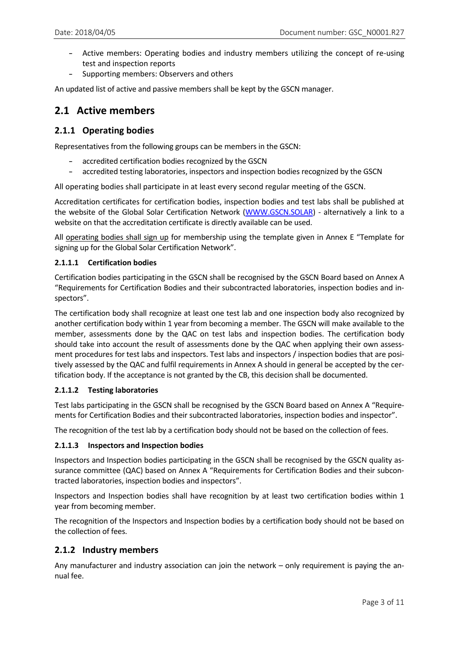- Active members: Operating bodies and industry members utilizing the concept of re-using test and inspection reports
- Supporting members: Observers and others

An updated list of active and passive members shall be kept by the GSCN manager.

## **2.1 Active members**

#### **2.1.1 Operating bodies**

Representatives from the following groups can be members in the GSCN:

- accredited certification bodies recognized by the GSCN
- accredited testing laboratories, inspectors and inspection bodies recognized by the GSCN

All operating bodies shall participate in at least every second regular meeting of the GSCN.

Accreditation certificates for certification bodies, inspection bodies and test labs shall be published at the website of the Global Solar Certification Network [\(WWW.GSCN.SOLAR\)](http://www.gscn.solar/) - alternatively a link to a website on that the accreditation certificate is directly available can be used.

All operating bodies shall sign up for membership using the template given in Annex E "Template for signing up for the Global Solar Certification Network".

#### **2.1.1.1 Certification bodies**

Certification bodies participating in the GSCN shall be recognised by the GSCN Board based on Annex A "Requirements for Certification Bodies and their subcontracted laboratories, inspection bodies and inspectors".

The certification body shall recognize at least one test lab and one inspection body also recognized by another certification body within 1 year from becoming a member. The GSCN will make available to the member, assessments done by the QAC on test labs and inspection bodies. The certification body should take into account the result of assessments done by the QAC when applying their own assessment procedures for test labs and inspectors. Test labs and inspectors / inspection bodies that are positively assessed by the QAC and fulfil requirements in Annex A should in general be accepted by the certification body. If the acceptance is not granted by the CB, this decision shall be documented.

#### **2.1.1.2 Testing laboratories**

Test labs participating in the GSCN shall be recognised by the GSCN Board based on Annex A "Requirements for Certification Bodies and their subcontracted laboratories, inspection bodies and inspector".

The recognition of the test lab by a certification body should not be based on the collection of fees.

#### **2.1.1.3 Inspectors and Inspection bodies**

Inspectors and Inspection bodies participating in the GSCN shall be recognised by the GSCN quality assurance committee (QAC) based on Annex A "Requirements for Certification Bodies and their subcontracted laboratories, inspection bodies and inspectors".

Inspectors and Inspection bodies shall have recognition by at least two certification bodies within 1 year from becoming member.

The recognition of the Inspectors and Inspection bodies by a certification body should not be based on the collection of fees.

#### **2.1.2 Industry members**

Any manufacturer and industry association can join the network – only requirement is paying the annual fee.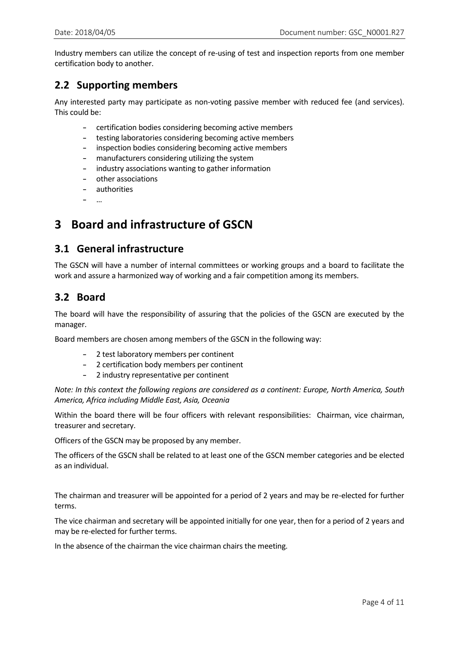Industry members can utilize the concept of re-using of test and inspection reports from one member certification body to another.

## **2.2 Supporting members**

Any interested party may participate as non-voting passive member with reduced fee (and services). This could be:

- certification bodies considering becoming active members
- testing laboratories considering becoming active members
- inspection bodies considering becoming active members
- manufacturers considering utilizing the system
- industry associations wanting to gather information
- other associations
- authorities
- …

# **3 Board and infrastructure of GSCN**

### **3.1 General infrastructure**

The GSCN will have a number of internal committees or working groups and a board to facilitate the work and assure a harmonized way of working and a fair competition among its members.

## **3.2 Board**

The board will have the responsibility of assuring that the policies of the GSCN are executed by the manager.

Board members are chosen among members of the GSCN in the following way:

- 2 test laboratory members per continent
- 2 certification body members per continent
- 2 industry representative per continent

*Note: In this context the following regions are considered as a continent: Europe, North America, South America, Africa including Middle East, Asia, Oceania*

Within the board there will be four officers with relevant responsibilities: Chairman, vice chairman, treasurer and secretary.

Officers of the GSCN may be proposed by any member.

The officers of the GSCN shall be related to at least one of the GSCN member categories and be elected as an individual.

The chairman and treasurer will be appointed for a period of 2 years and may be re-elected for further terms.

The vice chairman and secretary will be appointed initially for one year, then for a period of 2 years and may be re-elected for further terms.

In the absence of the chairman the vice chairman chairs the meeting.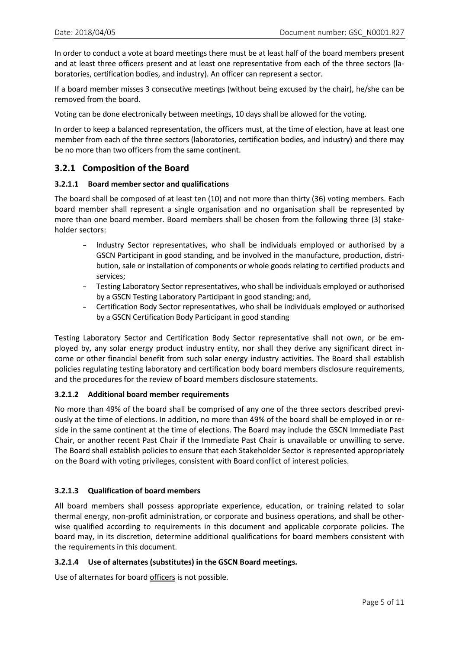In order to conduct a vote at board meetings there must be at least half of the board members present and at least three officers present and at least one representative from each of the three sectors (laboratories, certification bodies, and industry). An officer can represent a sector.

If a board member misses 3 consecutive meetings (without being excused by the chair), he/she can be removed from the board.

Voting can be done electronically between meetings, 10 days shall be allowed for the voting.

In order to keep a balanced representation, the officers must, at the time of election, have at least one member from each of the three sectors (laboratories, certification bodies, and industry) and there may be no more than two officers from the same continent.

#### **3.2.1 Composition of the Board**

#### **3.2.1.1 Board member sector and qualifications**

The board shall be composed of at least ten (10) and not more than thirty (36) voting members. Each board member shall represent a single organisation and no organisation shall be represented by more than one board member. Board members shall be chosen from the following three (3) stakeholder sectors:

- Industry Sector representatives, who shall be individuals employed or authorised by a GSCN Participant in good standing, and be involved in the manufacture, production, distribution, sale or installation of components or whole goods relating to certified products and services;
- Testing Laboratory Sector representatives, who shall be individuals employed or authorised by a GSCN Testing Laboratory Participant in good standing; and,
- Certification Body Sector representatives, who shall be individuals employed or authorised by a GSCN Certification Body Participant in good standing

Testing Laboratory Sector and Certification Body Sector representative shall not own, or be employed by, any solar energy product industry entity, nor shall they derive any significant direct income or other financial benefit from such solar energy industry activities. The Board shall establish policies regulating testing laboratory and certification body board members disclosure requirements, and the procedures for the review of board members disclosure statements.

#### **3.2.1.2 Additional board member requirements**

No more than 49% of the board shall be comprised of any one of the three sectors described previously at the time of elections. In addition, no more than 49% of the board shall be employed in or reside in the same continent at the time of elections. The Board may include the GSCN Immediate Past Chair, or another recent Past Chair if the Immediate Past Chair is unavailable or unwilling to serve. The Board shall establish policies to ensure that each Stakeholder Sector is represented appropriately on the Board with voting privileges, consistent with Board conflict of interest policies.

#### **3.2.1.3 Qualification of board members**

All board members shall possess appropriate experience, education, or training related to solar thermal energy, non-profit administration, or corporate and business operations, and shall be otherwise qualified according to requirements in this document and applicable corporate policies. The board may, in its discretion, determine additional qualifications for board members consistent with the requirements in this document.

#### **3.2.1.4 Use of alternates (substitutes) in the GSCN Board meetings.**

Use of alternates for board officers is not possible.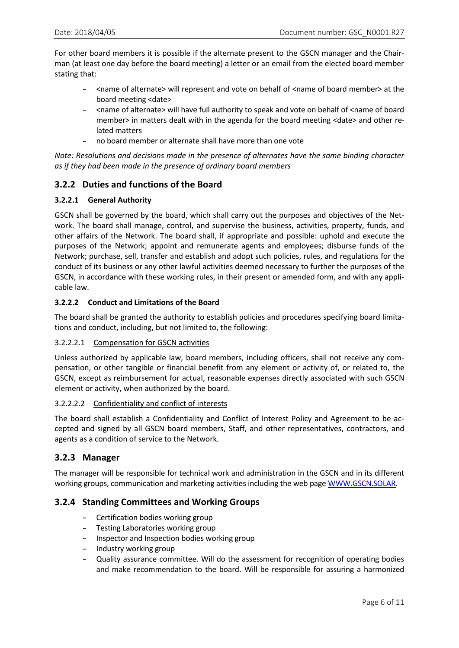For other board members it is possible if the alternate present to the GSCN manager and the Chairman (at least one day before the board meeting) a letter or an email from the elected board member stating that:

- <name of alternate> will represent and vote on behalf of <name of board member> at the board meeting <date>
- <name of alternate> will have full authority to speak and vote on behalf of <name of board member> in matters dealt with in the agenda for the board meeting <date> and other related matters
- no board member or alternate shall have more than one vote

*Note: Resolutions and decisions made in the presence of alternates have the same binding character as if they had been made in the presence of ordinary board members*

#### **3.2.2 Duties and functions of the Board**

#### **3.2.2.1 General Authority**

GSCN shall be governed by the board, which shall carry out the purposes and objectives of the Network. The board shall manage, control, and supervise the business, activities, property, funds, and other affairs of the Network. The board shall, if appropriate and possible: uphold and execute the purposes of the Network; appoint and remunerate agents and employees; disburse funds of the Network; purchase, sell, transfer and establish and adopt such policies, rules, and regulations for the conduct of its business or any other lawful activities deemed necessary to further the purposes of the GSCN, in accordance with these working rules, in their present or amended form, and with any applicable law.

#### **3.2.2.2 Conduct and Limitations of the Board**

The board shall be granted the authority to establish policies and procedures specifying board limitations and conduct, including, but not limited to, the following:

#### 3.2.2.2.1 Compensation for GSCN activities

Unless authorized by applicable law, board members, including officers, shall not receive any compensation, or other tangible or financial benefit from any element or activity of, or related to, the GSCN, except as reimbursement for actual, reasonable expenses directly associated with such GSCN element or activity, when authorized by the board.

#### 3.2.2.2.2 Confidentiality and conflict of interests

The board shall establish a Confidentiality and Conflict of Interest Policy and Agreement to be accepted and signed by all GSCN board members, Staff, and other representatives, contractors, and agents as a condition of service to the Network.

#### **3.2.3 Manager**

The manager will be responsible for technical work and administration in the GSCN and in its different working groups, communication and marketing activities including the web page [WWW.GSCN.SOLAR.](http://www.gscn.solar/)

#### **3.2.4 Standing Committees and Working Groups**

- Certification bodies working group
- Testing Laboratories working group
- Inspector and Inspection bodies working group
- Industry working group
- Quality assurance committee. Will do the assessment for recognition of operating bodies and make recommendation to the board. Will be responsible for assuring a harmonized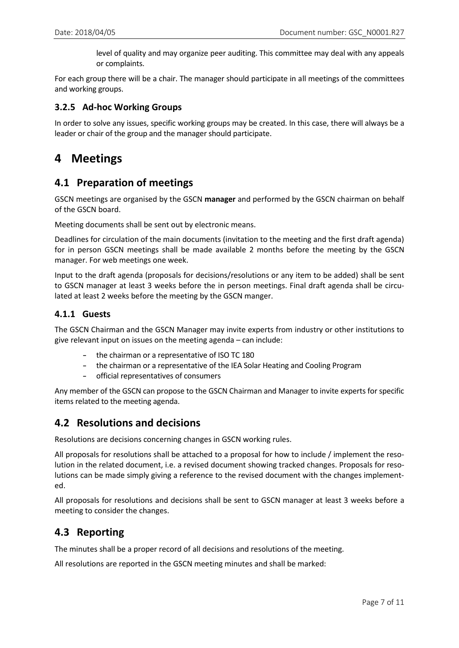level of quality and may organize peer auditing. This committee may deal with any appeals or complaints.

For each group there will be a chair. The manager should participate in all meetings of the committees and working groups.

#### **3.2.5 Ad-hoc Working Groups**

In order to solve any issues, specific working groups may be created. In this case, there will always be a leader or chair of the group and the manager should participate.

## **4 Meetings**

### **4.1 Preparation of meetings**

GSCN meetings are organised by the GSCN **manager** and performed by the GSCN chairman on behalf of the GSCN board.

Meeting documents shall be sent out by electronic means.

Deadlines for circulation of the main documents (invitation to the meeting and the first draft agenda) for in person GSCN meetings shall be made available 2 months before the meeting by the GSCN manager. For web meetings one week.

Input to the draft agenda (proposals for decisions/resolutions or any item to be added) shall be sent to GSCN manager at least 3 weeks before the in person meetings. Final draft agenda shall be circulated at least 2 weeks before the meeting by the GSCN manger.

#### **4.1.1 Guests**

The GSCN Chairman and the GSCN Manager may invite experts from industry or other institutions to give relevant input on issues on the meeting agenda – can include:

- the chairman or a representative of ISO TC 180
- the chairman or a representative of the IEA Solar Heating and Cooling Program
- official representatives of consumers

Any member of the GSCN can propose to the GSCN Chairman and Manager to invite experts for specific items related to the meeting agenda.

### **4.2 Resolutions and decisions**

Resolutions are decisions concerning changes in GSCN working rules.

All proposals for resolutions shall be attached to a proposal for how to include / implement the resolution in the related document, i.e. a revised document showing tracked changes. Proposals for resolutions can be made simply giving a reference to the revised document with the changes implemented.

All proposals for resolutions and decisions shall be sent to GSCN manager at least 3 weeks before a meeting to consider the changes.

### **4.3 Reporting**

The minutes shall be a proper record of all decisions and resolutions of the meeting.

All resolutions are reported in the GSCN meeting minutes and shall be marked: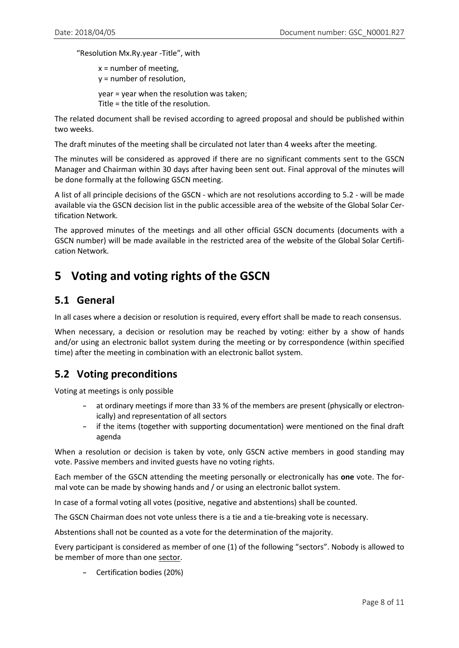"Resolution Mx.Ry.year -Title", with

 $x =$  number of meeting, y = number of resolution, year = year when the resolution was taken; Title = the title of the resolution.

The related document shall be revised according to agreed proposal and should be published within two weeks.

The draft minutes of the meeting shall be circulated not later than 4 weeks after the meeting.

The minutes will be considered as approved if there are no significant comments sent to the GSCN Manager and Chairman within 30 days after having been sent out. Final approval of the minutes will be done formally at the following GSCN meeting.

A list of all principle decisions of the GSCN - which are not resolutions according to 5.2 - will be made available via the GSCN decision list in the public accessible area of the website of the Global Solar Certification Network.

The approved minutes of the meetings and all other official GSCN documents (documents with a GSCN number) will be made available in the restricted area of the website of the Global Solar Certification Network.

# **5 Voting and voting rights of the GSCN**

## **5.1 General**

In all cases where a decision or resolution is required, every effort shall be made to reach consensus.

When necessary, a decision or resolution may be reached by voting: either by a show of hands and/or using an electronic ballot system during the meeting or by correspondence (within specified time) after the meeting in combination with an electronic ballot system.

## **5.2 Voting preconditions**

Voting at meetings is only possible

- at ordinary meetings if more than 33 % of the members are present (physically or electronically) and representation of all sectors
- if the items (together with supporting documentation) were mentioned on the final draft agenda

When a resolution or decision is taken by vote, only GSCN active members in good standing may vote. Passive members and invited guests have no voting rights.

Each member of the GSCN attending the meeting personally or electronically has **one** vote. The formal vote can be made by showing hands and / or using an electronic ballot system.

In case of a formal voting all votes (positive, negative and abstentions) shall be counted.

The GSCN Chairman does not vote unless there is a tie and a tie-breaking vote is necessary.

Abstentions shall not be counted as a vote for the determination of the majority.

Every participant is considered as member of one (1) of the following "sectors". Nobody is allowed to be member of more than one sector.

– Certification bodies (20%)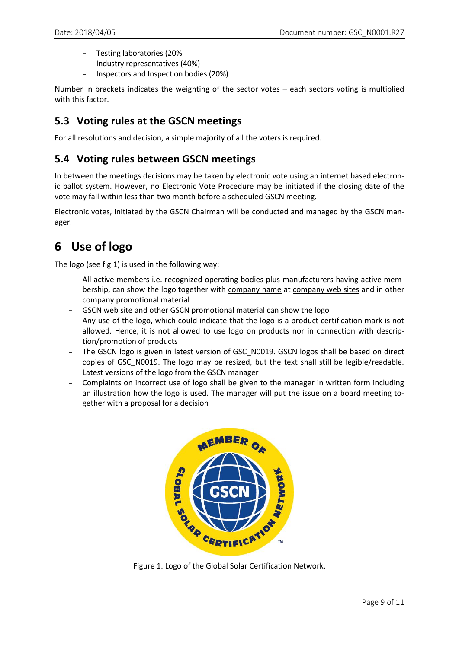- Testing laboratories (20%
- Industry representatives (40%)
- Inspectors and Inspection bodies (20%)

Number in brackets indicates the weighting of the sector votes – each sectors voting is multiplied with this factor.

## **5.3 Voting rules at the GSCN meetings**

For all resolutions and decision, a simple majority of all the voters is required.

## **5.4 Voting rules between GSCN meetings**

In between the meetings decisions may be taken by electronic vote using an internet based electronic ballot system. However, no Electronic Vote Procedure may be initiated if the closing date of the vote may fall within less than two month before a scheduled GSCN meeting.

Electronic votes, initiated by the GSCN Chairman will be conducted and managed by the GSCN manager.

# **6 Use of logo**

The logo (see fig.1) is used in the following way:

- All active members i.e. recognized operating bodies plus manufacturers having active membership, can show the logo together with company name at company web sites and in other company promotional material
- GSCN web site and other GSCN promotional material can show the logo
- Any use of the logo, which could indicate that the logo is a product certification mark is not allowed. Hence, it is not allowed to use logo on products nor in connection with description/promotion of products
- The GSCN logo is given in latest version of GSC\_N0019. GSCN logos shall be based on direct copies of GSC\_N0019. The logo may be resized, but the text shall still be legible/readable. Latest versions of the logo from the GSCN manager
- Complaints on incorrect use of logo shall be given to the manager in written form including an illustration how the logo is used. The manager will put the issue on a board meeting together with a proposal for a decision



Figure 1. Logo of the Global Solar Certification Network.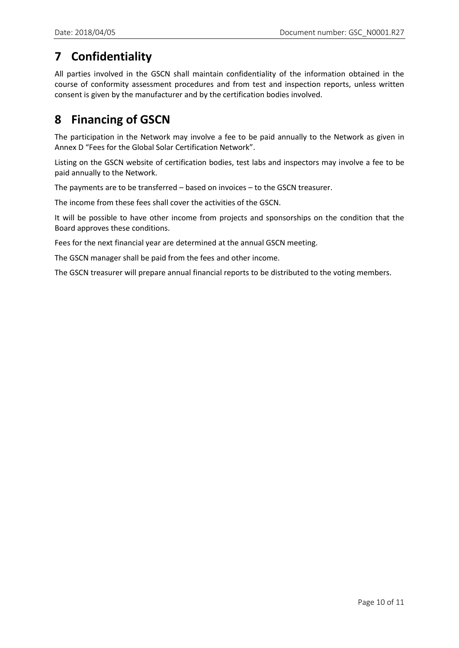# **7 Confidentiality**

All parties involved in the GSCN shall maintain confidentiality of the information obtained in the course of conformity assessment procedures and from test and inspection reports, unless written consent is given by the manufacturer and by the certification bodies involved.

# **8 Financing of GSCN**

The participation in the Network may involve a fee to be paid annually to the Network as given in Annex D "Fees for the Global Solar Certification Network".

Listing on the GSCN website of certification bodies, test labs and inspectors may involve a fee to be paid annually to the Network.

The payments are to be transferred – based on invoices – to the GSCN treasurer.

The income from these fees shall cover the activities of the GSCN.

It will be possible to have other income from projects and sponsorships on the condition that the Board approves these conditions.

Fees for the next financial year are determined at the annual GSCN meeting.

The GSCN manager shall be paid from the fees and other income.

The GSCN treasurer will prepare annual financial reports to be distributed to the voting members.